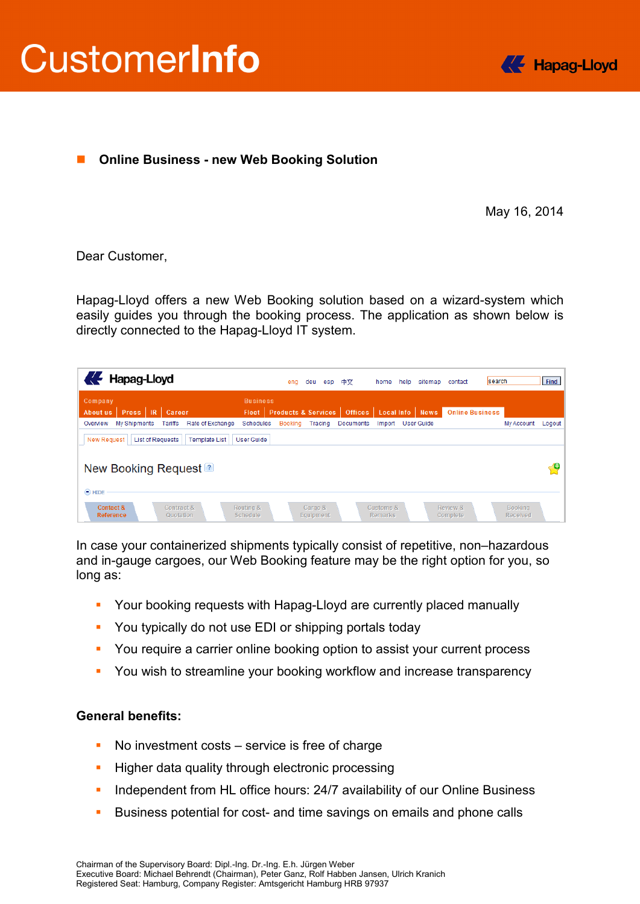



## ■ Online Business - new Web Booking Solution

May 16, 2014

## Dear Customer,

Hapag-Lloyd offers a new Web Booking solution based on a wizard-system which easily guides you through the booking process. The application as shown below is directly connected to the Hapag-Lloyd IT system.

| Hapag-Lloyd                                                           |                                 | eng     | deu                            | esp | 中文             | home                        | help | sitemap           | contact                | search                            | Find   |
|-----------------------------------------------------------------------|---------------------------------|---------|--------------------------------|-----|----------------|-----------------------------|------|-------------------|------------------------|-----------------------------------|--------|
| Company<br>Press R<br>Career<br><b>About us</b>                       | <b>Business</b><br><b>Fleet</b> |         | <b>Products &amp; Services</b> |     | <b>Offices</b> | <b>Local Info</b>           |      | <b>News</b>       | <b>Online Business</b> |                                   |        |
| My Shipments<br>Tariffs<br>Rate of Exchange<br>Overview               | <b>Schedules</b>                | Booking | Tracing                        |     | Documents      | Import                      |      | <b>User Guide</b> |                        | <b>My Account</b>                 | Logout |
| <b>List of Requests</b><br><b>New Request</b><br><b>Template List</b> | <b>User Guide</b>               |         |                                |     |                |                             |      |                   |                        |                                   |        |
| New Booking Request <sup>2</sup><br>$\odot$ HIDE                      |                                 |         |                                |     |                |                             |      |                   |                        |                                   | О      |
| Contact &<br>Contract &<br><b>Reference</b><br>Quotation              | Routing &<br><b>Schedule</b>    |         | Cargo &<br>Equipment           |     |                | Customs &<br><b>Remarks</b> |      |                   | Review &<br>Complete   | <b>Booking</b><br><b>Received</b> |        |

In case your containerized shipments typically consist of repetitive, non–hazardous and in-gauge cargoes, our Web Booking feature may be the right option for you, so long as:

- **Your booking requests with Hapag-Lloyd are currently placed manually**
- **You typically do not use EDI or shipping portals today**
- **You require a carrier online booking option to assist your current process**
- **You wish to streamline your booking workflow and increase transparency**

## **General benefits:**

- No investment costs service is free of charge
- **Higher data quality through electronic processing**
- **Independent from HL office hours: 24/7 availability of our Online Business**
- Business potential for cost- and time savings on emails and phone calls